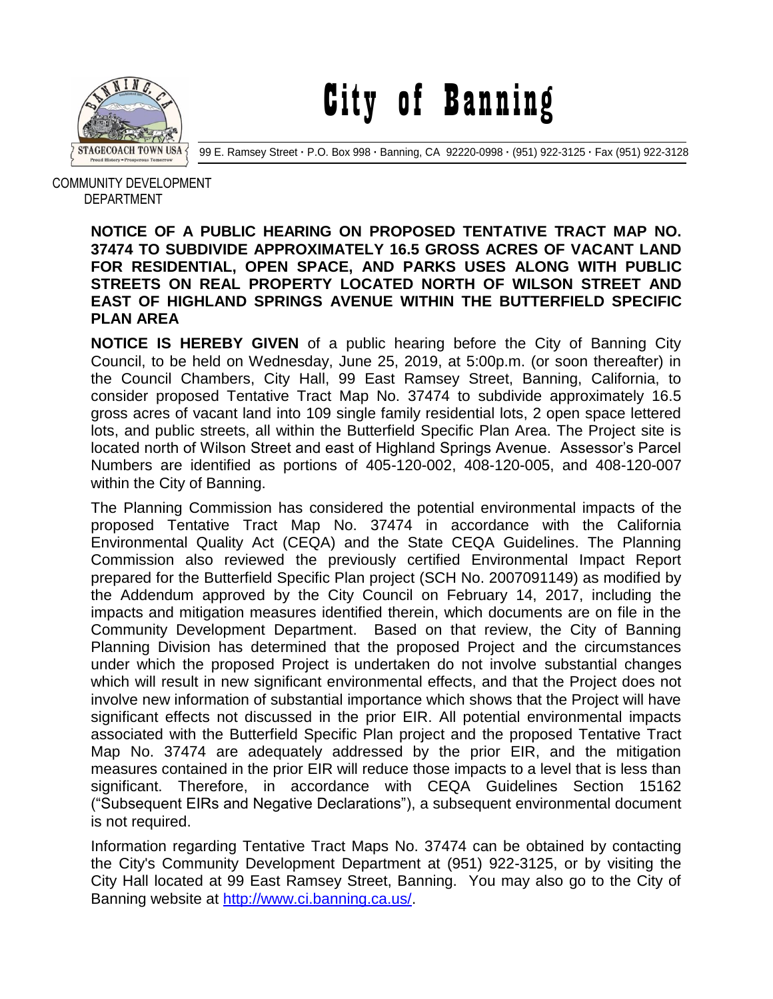

City of Banning

99 E. Ramsey Street **·** P.O. Box 998 **·** Banning, CA 92220-0998 **·** (951) 922-3125 **·** Fax (951) 922-3128

 COMMUNITY DEVELOPMENT DEPARTMENT

## **NOTICE OF A PUBLIC HEARING ON PROPOSED TENTATIVE TRACT MAP NO. 37474 TO SUBDIVIDE APPROXIMATELY 16.5 GROSS ACRES OF VACANT LAND FOR RESIDENTIAL, OPEN SPACE, AND PARKS USES ALONG WITH PUBLIC STREETS ON REAL PROPERTY LOCATED NORTH OF WILSON STREET AND EAST OF HIGHLAND SPRINGS AVENUE WITHIN THE BUTTERFIELD SPECIFIC PLAN AREA**

**NOTICE IS HEREBY GIVEN** of a public hearing before the City of Banning City Council, to be held on Wednesday, June 25, 2019, at 5:00p.m. (or soon thereafter) in the Council Chambers, City Hall, 99 East Ramsey Street, Banning, California, to consider proposed Tentative Tract Map No. 37474 to subdivide approximately 16.5 gross acres of vacant land into 109 single family residential lots, 2 open space lettered lots, and public streets, all within the Butterfield Specific Plan Area. The Project site is located north of Wilson Street and east of Highland Springs Avenue. Assessor's Parcel Numbers are identified as portions of 405-120-002, 408-120-005, and 408-120-007 within the City of Banning.

The Planning Commission has considered the potential environmental impacts of the proposed Tentative Tract Map No. 37474 in accordance with the California Environmental Quality Act (CEQA) and the State CEQA Guidelines. The Planning Commission also reviewed the previously certified Environmental Impact Report prepared for the Butterfield Specific Plan project (SCH No. 2007091149) as modified by the Addendum approved by the City Council on February 14, 2017, including the impacts and mitigation measures identified therein, which documents are on file in the Community Development Department. Based on that review, the City of Banning Planning Division has determined that the proposed Project and the circumstances under which the proposed Project is undertaken do not involve substantial changes which will result in new significant environmental effects, and that the Project does not involve new information of substantial importance which shows that the Project will have significant effects not discussed in the prior EIR. All potential environmental impacts associated with the Butterfield Specific Plan project and the proposed Tentative Tract Map No. 37474 are adequately addressed by the prior EIR, and the mitigation measures contained in the prior EIR will reduce those impacts to a level that is less than significant. Therefore, in accordance with CEQA Guidelines Section 15162 ("Subsequent EIRs and Negative Declarations"), a subsequent environmental document is not required.

Information regarding Tentative Tract Maps No. 37474 can be obtained by contacting the City's Community Development Department at (951) 922-3125, or by visiting the City Hall located at 99 East Ramsey Street, Banning. You may also go to the City of Banning website at [http://www.ci.banning.ca.us/.](http://www.ci.banning.ca.us/)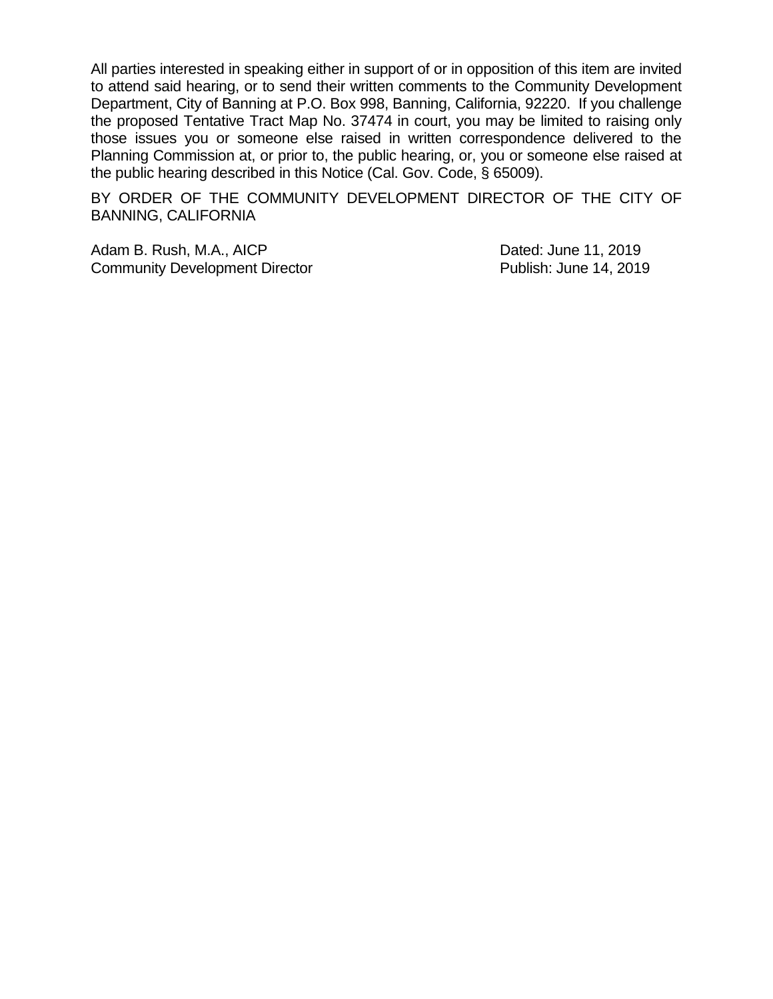All parties interested in speaking either in support of or in opposition of this item are invited to attend said hearing, or to send their written comments to the Community Development Department, City of Banning at P.O. Box 998, Banning, California, 92220. If you challenge the proposed Tentative Tract Map No. 37474 in court, you may be limited to raising only those issues you or someone else raised in written correspondence delivered to the Planning Commission at, or prior to, the public hearing, or, you or someone else raised at the public hearing described in this Notice (Cal. Gov. Code, § 65009).

BY ORDER OF THE COMMUNITY DEVELOPMENT DIRECTOR OF THE CITY OF BANNING, CALIFORNIA

Adam B. Rush, M.A., AICP **Dated:** June 11, 2019 Community Development Director **Publish: June 14, 2019**